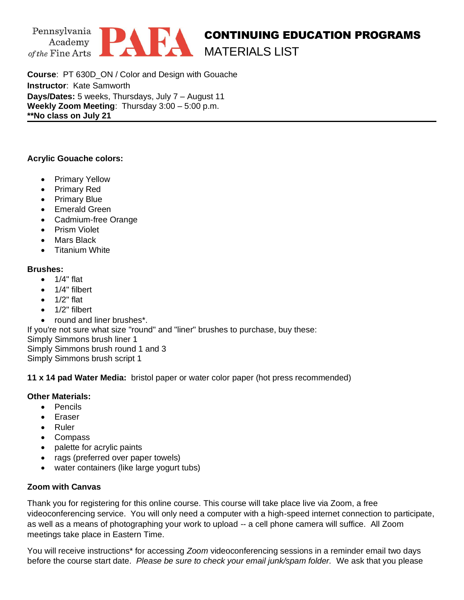

**Course**: PT 630D\_ON / Color and Design with Gouache **Instructor**: Kate Samworth **Days/Dates:** 5 weeks, Thursdays, July 7 – August 11 **Weekly Zoom Meeting**: Thursday 3:00 – 5:00 p.m. **\*\*No class on July 21**

## **Acrylic Gouache colors:**

- Primary Yellow
- Primary Red
- Primary Blue
- Emerald Green
- Cadmium-free Orange
- Prism Violet
- Mars Black
- Titanium White

## **Brushes:**

- 1/4" flat
- 1/4" filbert
- $\bullet$  1/2" flat
- 1/2" filbert
- round and liner brushes\*.

If you're not sure what size "round" and "liner" brushes to purchase, buy these:

Simply Simmons brush liner 1 Simply Simmons brush round 1 and 3

Simply Simmons brush script 1

**11 x 14 pad Water Media:** bristol paper or water color paper (hot press recommended)

## **Other Materials:**

- Pencils
- Eraser
- Ruler
- Compass
- palette for acrylic paints
- rags (preferred over paper towels)
- water containers (like large yogurt tubs)

## **Zoom with Canvas**

Thank you for registering for this online course. This course will take place live via Zoom, a free videoconferencing service. You will only need a computer with a high-speed internet connection to participate, as well as a means of photographing your work to upload -- a cell phone camera will suffice. All Zoom meetings take place in Eastern Time.

You will receive instructions\* for accessing *Zoom* videoconferencing sessions in a reminder email two days before the course start date. *Please be sure to check your email junk/spam folder.* We ask that you please